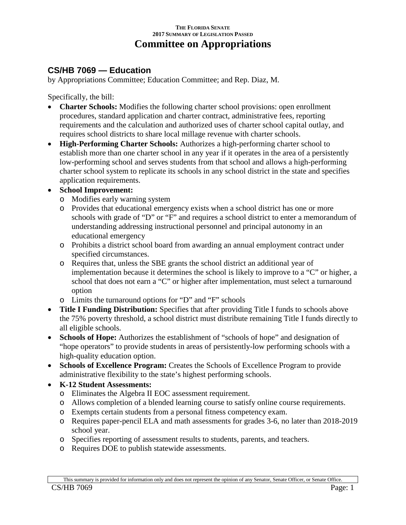## **THE FLORIDA SENATE 2017 SUMMARY OF LEGISLATION PASSED Committee on Appropriations**

## **CS/HB 7069 — Education**

by Appropriations Committee; Education Committee; and Rep. Diaz, M.

Specifically, the bill:

- **Charter Schools:** Modifies the following charter school provisions: open enrollment procedures, standard application and charter contract, administrative fees, reporting requirements and the calculation and authorized uses of charter school capital outlay, and requires school districts to share local millage revenue with charter schools.
- **High-Performing Charter Schools:** Authorizes a high-performing charter school to establish more than one charter school in any year if it operates in the area of a persistently low-performing school and serves students from that school and allows a high-performing charter school system to replicate its schools in any school district in the state and specifies application requirements.

## • **School Improvement:**

- o Modifies early warning system
- o Provides that educational emergency exists when a school district has one or more schools with grade of "D" or "F" and requires a school district to enter a memorandum of understanding addressing instructional personnel and principal autonomy in an educational emergency
- o Prohibits a district school board from awarding an annual employment contract under specified circumstances.
- o Requires that, unless the SBE grants the school district an additional year of implementation because it determines the school is likely to improve to a "C" or higher, a school that does not earn a "C" or higher after implementation, must select a turnaround option
- o Limits the turnaround options for "D" and "F" schools
- **Title I Funding Distribution:** Specifies that after providing Title I funds to schools above the 75% poverty threshold, a school district must distribute remaining Title I funds directly to all eligible schools.
- **Schools of Hope:** Authorizes the establishment of "schools of hope" and designation of "hope operators" to provide students in areas of persistently-low performing schools with a high-quality education option.
- **Schools of Excellence Program:** Creates the Schools of Excellence Program to provide administrative flexibility to the state's highest performing schools.
- **K-12 Student Assessments:**
	- o Eliminates the Algebra II EOC assessment requirement.
	- o Allows completion of a blended learning course to satisfy online course requirements.
	- o Exempts certain students from a personal fitness competency exam.
	- o Requires paper-pencil ELA and math assessments for grades 3-6, no later than 2018-2019 school year.
	- o Specifies reporting of assessment results to students, parents, and teachers.
	- o Requires DOE to publish statewide assessments.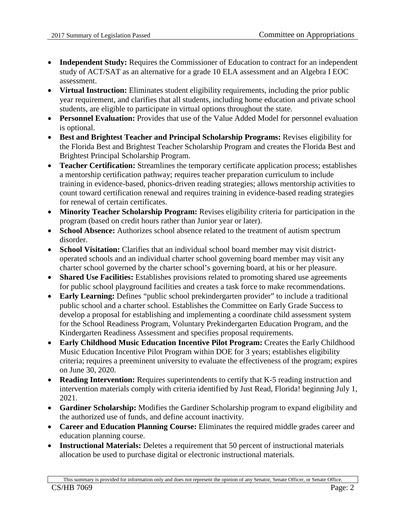- **Independent Study:** Requires the Commissioner of Education to contract for an independent study of ACT/SAT as an alternative for a grade 10 ELA assessment and an Algebra I EOC assessment.
- **Virtual Instruction:** Eliminates student eligibility requirements, including the prior public year requirement, and clarifies that all students, including home education and private school students, are eligible to participate in virtual options throughout the state.
- **Personnel Evaluation:** Provides that use of the Value Added Model for personnel evaluation is optional.
- **Best and Brightest Teacher and Principal Scholarship Programs:** Revises eligibility for the Florida Best and Brightest Teacher Scholarship Program and creates the Florida Best and Brightest Principal Scholarship Program.
- **Teacher Certification:** Streamlines the temporary certificate application process; establishes a mentorship certification pathway; requires teacher preparation curriculum to include training in evidence-based, phonics-driven reading strategies; allows mentorship activities to count toward certification renewal and requires training in evidence-based reading strategies for renewal of certain certificates.
- **Minority Teacher Scholarship Program:** Revises eligibility criteria for participation in the program (based on credit hours rather than Junior year or later).
- **School Absence:** Authorizes school absence related to the treatment of autism spectrum disorder.
- **School Visitation:** Clarifies that an individual school board member may visit districtoperated schools and an individual charter school governing board member may visit any charter school governed by the charter school's governing board, at his or her pleasure.
- **Shared Use Facilities:** Establishes provisions related to promoting shared use agreements for public school playground facilities and creates a task force to make recommendations.
- **Early Learning:** Defines "public school prekindergarten provider" to include a traditional public school and a charter school. Establishes the Committee on Early Grade Success to develop a proposal for establishing and implementing a coordinate child assessment system for the School Readiness Program, Voluntary Prekindergarten Education Program, and the Kindergarten Readiness Assessment and specifies proposal requirements.
- **Early Childhood Music Education Incentive Pilot Program:** Creates the Early Childhood Music Education Incentive Pilot Program within DOE for 3 years; establishes eligibility criteria; requires a preeminent university to evaluate the effectiveness of the program; expires on June 30, 2020.
- **Reading Intervention:** Requires superintendents to certify that K-5 reading instruction and intervention materials comply with criteria identified by Just Read, Florida! beginning July 1, 2021.
- **Gardiner Scholarship:** Modifies the Gardiner Scholarship program to expand eligibility and the authorized use of funds, and define account inactivity.
- **Career and Education Planning Course:** Eliminates the required middle grades career and education planning course.
- **Instructional Materials:** Deletes a requirement that 50 percent of instructional materials allocation be used to purchase digital or electronic instructional materials.